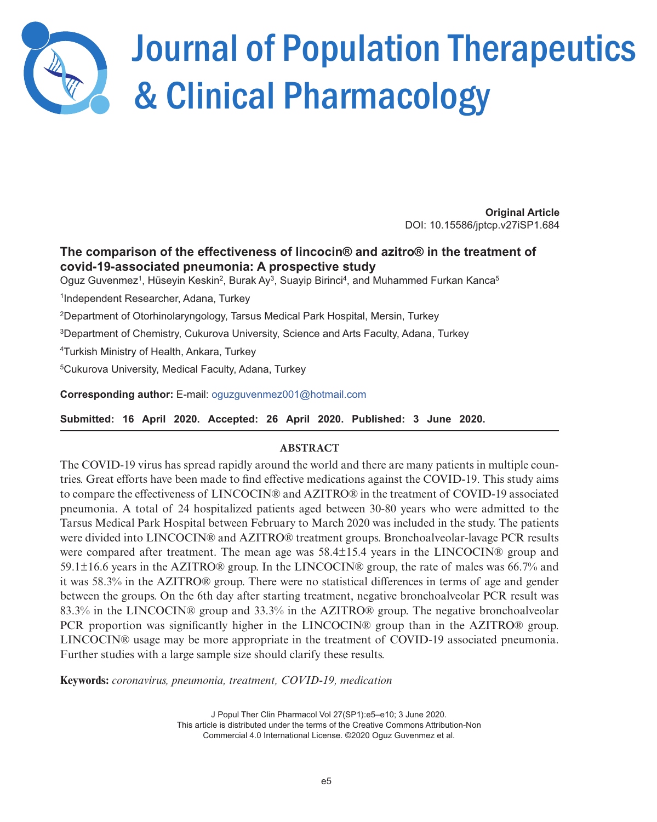

# Journal of Population Therapeutics & Clinical Pharmacology

**Original Article**  DOI: 10.15586/jptcp.v27iSP1.684

## **The comparison of the effectiveness of lincocin® and azitro® in the treatment of covid-19-associated pneumonia: A prospective study**

Oguz Guvenmez<sup>1</sup>, Hüseyin Keskin<sup>2</sup>, Burak Ay<sup>3</sup>, Suayip Birinci<sup>4</sup>, and Muhammed Furkan Kanca<sup>5</sup>

1 Independent Researcher, Adana, Turkey

<sup>2</sup>Department of Otorhinolaryngology, Tarsus Medical Park Hospital, Mersin, Turkey

<sup>3</sup>Department of Chemistry, Cukurova University, Science and Arts Faculty, Adana, Turkey

<sup>4</sup>Turkish Ministry of Health, Ankara, Turkey

<sup>5</sup>Cukurova University, Medical Faculty, Adana, Turkey

**Corresponding author:** E-mail: o[guzguvenmez001@hotmail.com](mailto:oguzguvenmez001@hotmail.com)

**Submitted: 16 April 2020. Accepted: 26 April 2020. Published: 3 June 2020.** 

## **ABSTRACT**

The COVID-19 virus has spread rapidly around the world and there are many patients in multiple countries. Great efforts have been made to find effective medications against the COVID-19. This study aims to compare the effectiveness of LINCOCIN® and AZITRO® in the treatment of COVID-19 associated pneumonia. A total of 24 hospitalized patients aged between 30-80 years who were admitted to the Tarsus Medical Park Hospital between February to March 2020 was included in the study. The patients were divided into LINCOCIN® and AZITRO® treatment groups. Bronchoalveolar-lavage PCR results were compared after treatment. The mean age was 58.4±15.4 years in the LINCOCIN® group and 59.1±16.6 years in the AZITRO® group. In the LINCOCIN® group, the rate of males was 66.7% and it was 58.3% in the AZITRO® group. There were no statistical differences in terms of age and gender between the groups. On the 6th day after starting treatment, negative bronchoalveolar PCR result was 83.3% in the LINCOCIN® group and 33.3% in the AZITRO® group. The negative bronchoalveolar PCR proportion was significantly higher in the LINCOCIN® group than in the AZITRO® group. LINCOCIN® usage may be more appropriate in the treatment of COVID-19 associated pneumonia. Further studies with a large sample size should clarify these results.

**Keywords:** *coronavirus, pneumonia, treatment, COVID-19, medication*

J Popul Ther Clin Pharmacol Vol 27(SP1):e5–e10; 3 June 2020. This article is distributed under the terms of the Creative Commons Attribution-Non Commercial 4.0 International License. ©2020 Oguz Guvenmez et al.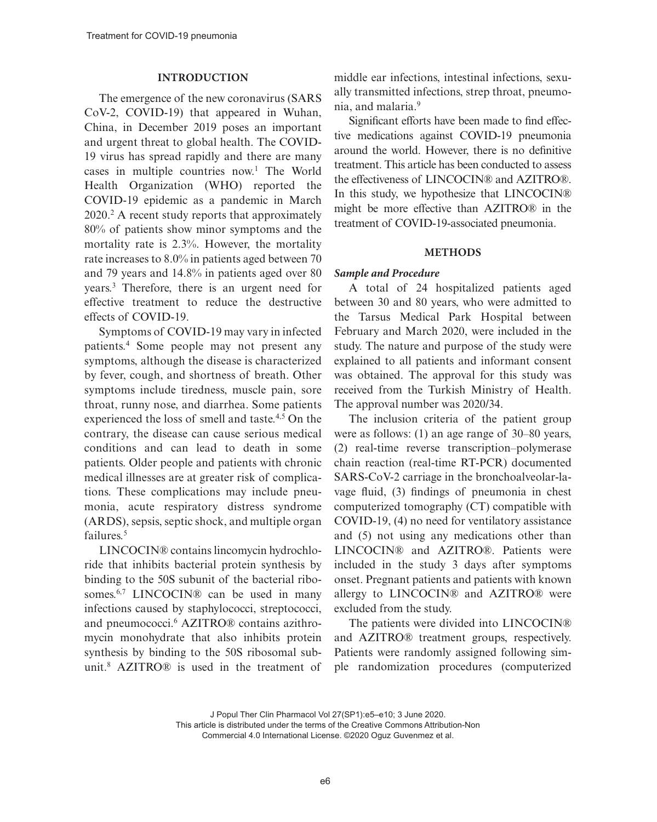#### **INTRODUCTION**

The emergence of the new coronavirus (SARS CoV-2, COVID-19) that appeared in Wuhan, China, in December 2019 poses an important and urgent threat to global health. The COVID-19 virus has spread rapidly and there are many cases in multiple countries now.<sup>1</sup> The World Health Organization (WHO) reported the COVID-19 epidemic as a pandemic in March 2020.2 A recent study reports that approximately 80% of patients show minor symptoms and the mortality rate is 2.3%. However, the mortality rate increases to 8.0% in patients aged between 70 and 79 years and 14.8% in patients aged over 80 years.3 Therefore, there is an urgent need for effective treatment to reduce the destructive effects of COVID-19.

Symptoms of COVID-19 may vary in infected patients.4 Some people may not present any symptoms, although the disease is characterized by fever, cough, and shortness of breath. Other symptoms include tiredness, muscle pain, sore throat, runny nose, and diarrhea. Some patients experienced the loss of smell and taste.4,5 On the contrary, the disease can cause serious medical conditions and can lead to death in some patients. Older people and patients with chronic medical illnesses are at greater risk of complications. These complications may include pneumonia, acute respiratory distress syndrome (ARDS), sepsis, septic shock, and multiple organ failures.<sup>5</sup>

LINCOCIN® contains lincomycin hydrochloride that inhibits bacterial protein synthesis by binding to the 50S subunit of the bacterial ribosomes.<sup>6,7</sup> LINCOCIN® can be used in many infections caused by staphylococci, streptococci, and pneumococci.<sup>6</sup> AZITRO<sup>®</sup> contains azithromycin monohydrate that also inhibits protein synthesis by binding to the 50S ribosomal subunit.8 AZITRO® is used in the treatment of middle ear infections, intestinal infections, sexually transmitted infections, strep throat, pneumonia, and malaria.9

Significant efforts have been made to find effective medications against COVID-19 pneumonia around the world. However, there is no definitive treatment. This article has been conducted to assess the effectiveness of LINCOCIN® and AZITRO®. In this study, we hypothesize that LINCOCIN® might be more effective than AZITRO® in the treatment of COVID-19-associated pneumonia.

#### **METHODS**

## *Sample and Procedure*

A total of 24 hospitalized patients aged between 30 and 80 years, who were admitted to the Tarsus Medical Park Hospital between February and March 2020, were included in the study. The nature and purpose of the study were explained to all patients and informant consent was obtained. The approval for this study was received from the Turkish Ministry of Health. The approval number was 2020/34.

The inclusion criteria of the patient group were as follows: (1) an age range of 30–80 years, (2) real-time reverse transcription–polymerase chain reaction (real-time RT-PCR) documented SARS-CoV-2 carriage in the bronchoalveolar-lavage fluid, (3) findings of pneumonia in chest computerized tomography (CT) compatible with COVID-19, (4) no need for ventilatory assistance and (5) not using any medications other than LINCOCIN® and AZITRO®. Patients were included in the study 3 days after symptoms onset. Pregnant patients and patients with known allergy to LINCOCIN® and AZITRO® were excluded from the study.

The patients were divided into LINCOCIN® and AZITRO® treatment groups, respectively. Patients were randomly assigned following simple randomization procedures (computerized

J Popul Ther Clin Pharmacol Vol 27(SP1):e5–e10; 3 June 2020. This article is distributed under the terms of the Creative Commons Attribution-Non Commercial 4.0 International License. ©2020 Oguz Guvenmez et al.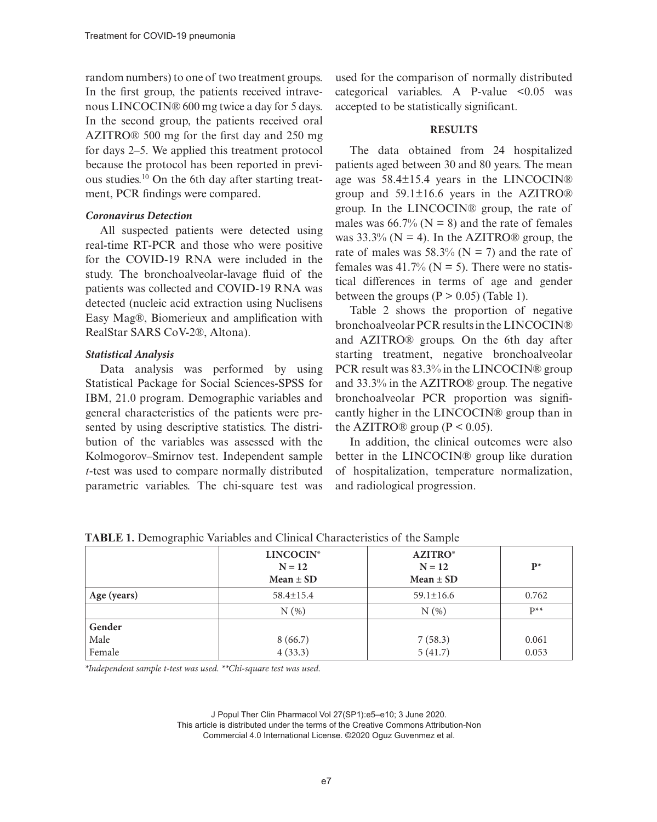random numbers) to one of two treatment groups. In the first group, the patients received intravenous LINCOCIN® 600 mg twice a day for 5 days. In the second group, the patients received oral AZITRO® 500 mg for the first day and 250 mg for days 2–5. We applied this treatment protocol because the protocol has been reported in previous studies.10 On the 6th day after starting treatment, PCR findings were compared.

#### *Coronavirus Detection*

All suspected patients were detected using real-time RT-PCR and those who were positive for the COVID-19 RNA were included in the study. The bronchoalveolar-lavage fluid of the patients was collected and COVID-19 RNA was detected (nucleic acid extraction using Nuclisens Easy Mag®, Biomerieux and amplification with RealStar SARS CoV-2®, Altona).

## *Statistical Analysis*

Data analysis was performed by using Statistical Package for Social Sciences-SPSS for IBM, 21.0 program. Demographic variables and general characteristics of the patients were presented by using descriptive statistics. The distribution of the variables was assessed with the Kolmogorov–Smirnov test. Independent sample *t*-test was used to compare normally distributed parametric variables. The chi-square test was

used for the comparison of normally distributed categorical variables. A P-value  $\leq 0.05$  was accepted to be statistically significant.

## **RESULTS**

The data obtained from 24 hospitalized patients aged between 30 and 80 years. The mean age was 58.4±15.4 years in the LINCOCIN® group and 59.1±16.6 years in the AZITRO® group. In the LINCOCIN® group, the rate of males was  $66.7\%$  (N = 8) and the rate of females was  $33.3\%$  (N = 4). In the AZITRO<sup>®</sup> group, the rate of males was 58.3% ( $N = 7$ ) and the rate of females was 41.7% ( $N = 5$ ). There were no statistical differences in terms of age and gender between the groups  $(P > 0.05)$  (Table 1).

Table 2 shows the proportion of negative bronchoalveolar PCR results in the LINCOCIN® and AZITRO® groups. On the 6th day after starting treatment, negative bronchoalveolar PCR result was 83.3% in the LINCOCIN® group and 33.3% in the AZITRO® group. The negative bronchoalveolar PCR proportion was significantly higher in the LINCOCIN® group than in the AZITRO® group ( $P < 0.05$ ).

In addition, the clinical outcomes were also better in the LINCOCIN® group like duration of hospitalization, temperature normalization, and radiological progression.

|             | <b>LINCOCIN®</b><br>$N = 12$<br>Mean $\pm$ SD | <b>AZITRO</b> <sup>®</sup><br>$N = 12$<br>$Mean \pm SD$ | $\mathbf{p}^*$ |
|-------------|-----------------------------------------------|---------------------------------------------------------|----------------|
| Age (years) | $58.4 \pm 15.4$                               | $59.1 \pm 16.6$                                         | 0.762          |
|             | N(%)                                          | N(%)                                                    | $p**$          |
| Gender      |                                               |                                                         |                |
| Male        | 8(66.7)                                       | 7(58.3)                                                 | 0.061          |
| Female      | 4(33.3)                                       | 5(41.7)                                                 | 0.053          |

**TABLE 1.** Demographic Variables and Clinical Characteristics of the Sample

*\*Independent sample t-test was used. \*\*Chi-square test was used.*

J Popul Ther Clin Pharmacol Vol 27(SP1):e5–e10; 3 June 2020. This article is distributed under the terms of the Creative Commons Attribution-Non Commercial 4.0 International License. ©2020 Oguz Guvenmez et al.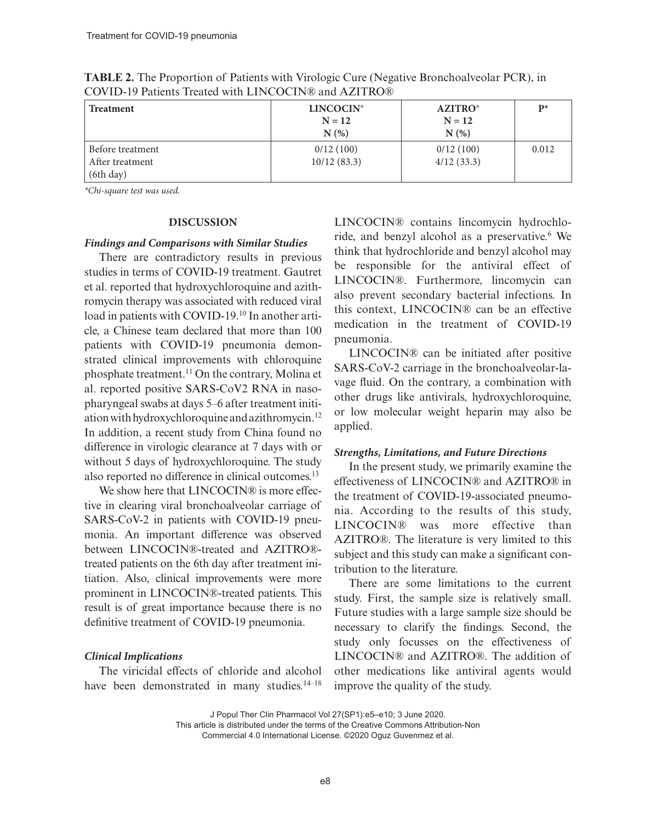| <b>Treatment</b>                                 | <b>LINCOCIN<sup>®</sup></b><br>$N = 12$<br>N(% | <b>AZITRO</b> <sup>®</sup><br>$N = 12$<br>N(%) | $P^*$ |
|--------------------------------------------------|------------------------------------------------|------------------------------------------------|-------|
| Before treatment<br>After treatment<br>(6th day) | 0/12(100)<br>10/12(83.3)                       | 0/12(100)<br>4/12(33.3)                        | 0.012 |

**TABLE 2.** The Proportion of Patients with Virologic Cure (Negative Bronchoalveolar PCR), in COVID-19 Patients Treated with LINCOCIN® and AZITRO®

*\*Chi-square test was used.*

#### **DISCUSSION**

#### *Findings and Comparisons with Similar Studies*

There are contradictory results in previous studies in terms of COVID-19 treatment. Gautret et al. reported that hydroxychloroquine and azithromycin therapy was associated with reduced viral load in patients with COVID-19.10 In another article, a Chinese team declared that more than 100 patients with COVID-19 pneumonia demonstrated clinical improvements with chloroquine phosphate treatment.11 On the contrary, Molina et al. reported positive SARS-CoV2 RNA in nasopharyngeal swabs at days 5–6 after treatment initiation with hydroxychloroquine and azithromycin.12 In addition, a recent study from China found no difference in virologic clearance at 7 days with or without 5 days of hydroxychloroquine. The study also reported no difference in clinical outcomes.13

We show here that LINCOCIN® is more effective in clearing viral bronchoalveolar carriage of SARS-CoV-2 in patients with COVID-19 pneumonia. An important difference was observed between LINCOCIN®-treated and AZITRO® treated patients on the 6th day after treatment initiation. Also, clinical improvements were more prominent in LINCOCIN®-treated patients. This result is of great importance because there is no definitive treatment of COVID-19 pneumonia.

#### *Clinical Implications*

The viricidal effects of chloride and alcohol have been demonstrated in many studies.<sup>14-18</sup> LINCOCIN® contains lincomycin hydrochloride, and benzyl alcohol as a preservative.<sup>6</sup> We think that hydrochloride and benzyl alcohol may be responsible for the antiviral effect of LINCOCIN®. Furthermore, lincomycin can also prevent secondary bacterial infections. In this context, LINCOCIN® can be an effective medication in the treatment of COVID-19 pneumonia.

LINCOCIN® can be initiated after positive SARS-CoV-2 carriage in the bronchoalveolar-lavage fluid. On the contrary, a combination with other drugs like antivirals, hydroxychloroquine, or low molecular weight heparin may also be applied.

#### *Strengths, Limitations, and Future Directions*

In the present study, we primarily examine the effectiveness of LINCOCIN® and AZITRO® in the treatment of COVID-19-associated pneumonia. According to the results of this study, LINCOCIN® was more effective than AZITRO®. The literature is very limited to this subject and this study can make a significant contribution to the literature.

There are some limitations to the current study. First, the sample size is relatively small. Future studies with a large sample size should be necessary to clarify the findings. Second, the study only focusses on the effectiveness of LINCOCIN® and AZITRO®. The addition of other medications like antiviral agents would improve the quality of the study.

J Popul Ther Clin Pharmacol Vol 27(SP1):e5–e10; 3 June 2020.

This article is distributed under the terms of the Creative Commons Attribution-Non Commercial 4.0 International License. ©2020 Oguz Guvenmez et al.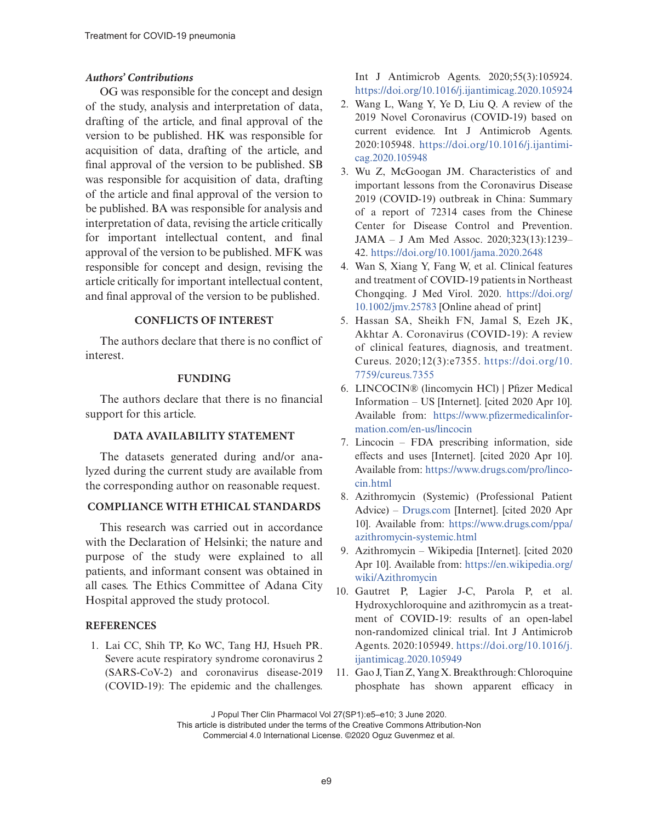### *Authors' Contributions*

OG was responsible for the concept and design of the study, analysis and interpretation of data, drafting of the article, and final approval of the version to be published. HK was responsible for acquisition of data, drafting of the article, and final approval of the version to be published. SB was responsible for acquisition of data, drafting of the article and final approval of the version to be published. BA was responsible for analysis and interpretation of data, revising the article critically for important intellectual content, and final approval of the version to be published. MFK was responsible for concept and design, revising the article critically for important intellectual content, and final approval of the version to be published.

## **CONFLICTS OF INTEREST**

The authors declare that there is no conflict of interest.

#### **FUNDING**

The authors declare that there is no financial support for this article.

## **DATA AVAILABILITY STATEMENT**

The datasets generated during and/or analyzed during the current study are available from the corresponding author on reasonable request.

## **COMPLIANCE WITH ETHICAL STANDARDS**

This research was carried out in accordance with the Declaration of Helsinki; the nature and purpose of the study were explained to all patients, and informant consent was obtained in all cases. The Ethics Committee of Adana City Hospital approved the study protocol.

## **REFERENCES**

1. Lai CC, Shih TP, Ko WC, Tang HJ, Hsueh PR. Severe acute respiratory syndrome coronavirus 2 (SARS-CoV-2) and coronavirus disease-2019 (COVID-19): The epidemic and the challenges.

Int J Antimicrob Agents. 2020;55(3):105924. [https://doi.org/10.1016/j.ijantimicag.2020.105924](https://doi.org/10.1016/j.ijantimicag.2020.​105924)

- 2. Wang L, Wang Y, Ye D, Liu Q. A review of the 2019 Novel Coronavirus (COVID-19) based on current evidence. Int J Antimicrob Agents. 2020:105948. [https://doi.org/10.1016/j.ijantimi](https://doi.org/10.1016/j.ijantimicag.2020.​105948)[cag.2020.105948](https://doi.org/10.1016/j.ijantimicag.2020.​105948)
- 3. Wu Z, McGoogan JM. Characteristics of and important lessons from the Coronavirus Disease 2019 (COVID-19) outbreak in China: Summary of a report of 72314 cases from the Chinese Center for Disease Control and Prevention. JAMA – J Am Med Assoc. 2020;323(13):1239– 42.<https://doi.org/10.1001/jama.2020.2648>
- 4. Wan S, Xiang Y, Fang W, et al. Clinical features and treatment of COVID-19 patients in Northeast Chongqing. J Med Virol. 2020. [https://doi.org/](https://doi.org/10.1002/jmv.25783) [10.1002/jmv.25783](https://doi.org/10.1002/jmv.25783) [Online ahead of print]
- 5. Hassan SA, Sheikh FN, Jamal S, Ezeh JK, Akhtar A. Coronavirus (COVID-19): A review of clinical features, diagnosis, and treatment. Cureus. 2020;12(3):e7355. [https://doi.org/10.](https://doi.org/10.7759/cureus.​7355) [7759/cureus.7355](https://doi.org/10.7759/cureus.​7355)
- 6. LINCOCIN® (lincomycin HCl) | Pfizer Medical Information – US [Internet]. [cited 2020 Apr 10]. Available from: [https://www.pfizermedicalinfor](https://www.pfizermedicalinformation.com/en-us/lincocin)[mation.com/en-us/lincocin](https://www.pfizermedicalinformation.com/en-us/lincocin)
- 7. Lincocin FDA prescribing information, side effects and uses [Internet]. [cited 2020 Apr 10]. Available from: [https://www.drugs.com/pro/linco](https://www.drugs.com/pro/lincocin.html)[cin.html](https://www.drugs.com/pro/lincocin.html)
- 8. Azithromycin (Systemic) (Professional Patient Advice) – [Drugs.com](http://Drugs.com) [Internet]. [cited 2020 Apr 10]. Available from: [https://www.drugs.com/ppa/](https://www.drugs.com/ppa/azithromycin-systemic.html) [azithromycin-systemic.html](https://www.drugs.com/ppa/azithromycin-systemic.html)
- 9. Azithromycin Wikipedia [Internet]. [cited 2020 Apr 10]. Available from: [https://en.wikipedia.org/](https://en.wikipedia.org/wiki/Azithromycin) [wiki/Azithromycin](https://en.wikipedia.org/wiki/Azithromycin)
- 10. Gautret P, Lagier J-C, Parola P, et al. Hydroxychloroquine and azithromycin as a treatment of COVID-19: results of an open-label non-randomized clinical trial. Int J Antimicrob Agents. 2020:105949. [https://doi.org/10.1016/j.](https://doi.org/10.1016/j.ijantimicag.2020.105949) [ijantimicag.2020.105949](https://doi.org/10.1016/j.ijantimicag.2020.105949)
- 11. Gao J, Tian Z, Yang X. Breakthrough: Chloroquine phosphate has shown apparent efficacy in

J Popul Ther Clin Pharmacol Vol 27(SP1):e5–e10; 3 June 2020.

This article is distributed under the terms of the Creative Commons Attribution-Non Commercial 4.0 International License. ©2020 Oguz Guvenmez et al.